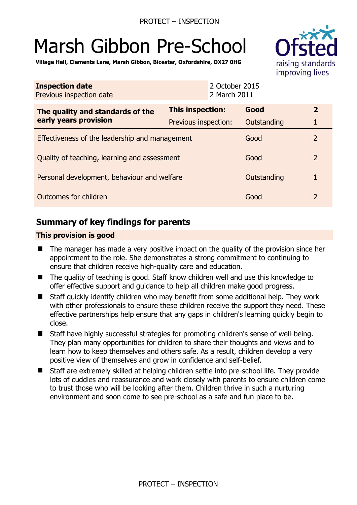# Marsh Gibbon Pre-School



**Village Hall, Clements Lane, Marsh Gibbon, Bicester, Oxfordshire, OX27 0HG** 

| <b>Inspection date</b><br>Previous inspection date        | 2 October 2015<br>2 March 2011 |             |                |
|-----------------------------------------------------------|--------------------------------|-------------|----------------|
| The quality and standards of the<br>early years provision | This inspection:               | Good        | $\overline{2}$ |
|                                                           | Previous inspection:           | Outstanding |                |
| Effectiveness of the leadership and management            |                                | Good        | $\overline{2}$ |
| Quality of teaching, learning and assessment              |                                | Good        | $\overline{2}$ |
| Personal development, behaviour and welfare               |                                | Outstanding |                |
| Outcomes for children                                     |                                | Good        | $\overline{2}$ |

# **Summary of key findings for parents**

## **This provision is good**

- The manager has made a very positive impact on the quality of the provision since her appointment to the role. She demonstrates a strong commitment to continuing to ensure that children receive high-quality care and education.
- The quality of teaching is good. Staff know children well and use this knowledge to offer effective support and guidance to help all children make good progress.
- Staff quickly identify children who may benefit from some additional help. They work with other professionals to ensure these children receive the support they need. These effective partnerships help ensure that any gaps in children's learning quickly begin to close.
- Staff have highly successful strategies for promoting children's sense of well-being. They plan many opportunities for children to share their thoughts and views and to learn how to keep themselves and others safe. As a result, children develop a very positive view of themselves and grow in confidence and self-belief.
- Staff are extremely skilled at helping children settle into pre-school life. They provide lots of cuddles and reassurance and work closely with parents to ensure children come to trust those who will be looking after them. Children thrive in such a nurturing environment and soon come to see pre-school as a safe and fun place to be.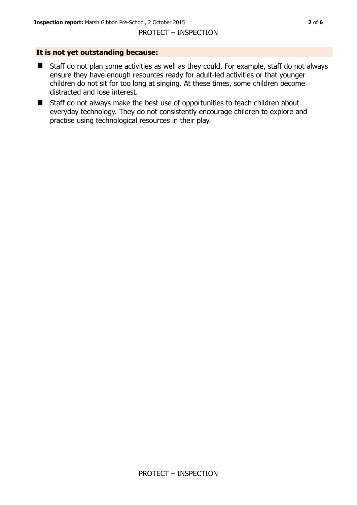#### **It is not yet outstanding because:**

- Staff do not plan some activities as well as they could. For example, staff do not always ensure they have enough resources ready for adult-led activities or that younger children do not sit for too long at singing. At these times, some children become distracted and lose interest.
- Staff do not always make the best use of opportunities to teach children about everyday technology. They do not consistently encourage children to explore and practise using technological resources in their play.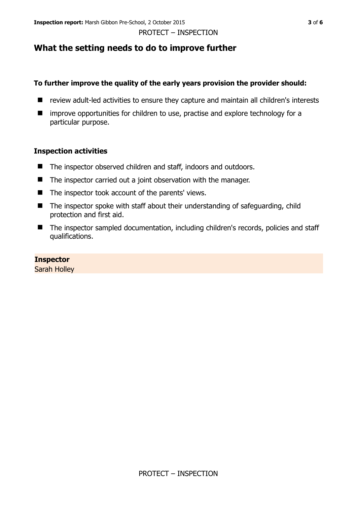# **What the setting needs to do to improve further**

## **To further improve the quality of the early years provision the provider should:**

- review adult-led activities to ensure they capture and maintain all children's interests
- $\blacksquare$  improve opportunities for children to use, practise and explore technology for a particular purpose.

## **Inspection activities**

- The inspector observed children and staff, indoors and outdoors.
- $\blacksquare$  The inspector carried out a joint observation with the manager.
- $\blacksquare$  The inspector took account of the parents' views.
- The inspector spoke with staff about their understanding of safeguarding, child protection and first aid.
- The inspector sampled documentation, including children's records, policies and staff qualifications.

## **Inspector**

Sarah Holley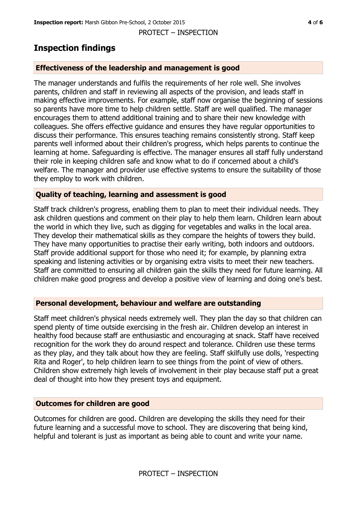# **Inspection findings**

#### **Effectiveness of the leadership and management is good**

The manager understands and fulfils the requirements of her role well. She involves parents, children and staff in reviewing all aspects of the provision, and leads staff in making effective improvements. For example, staff now organise the beginning of sessions so parents have more time to help children settle. Staff are well qualified. The manager encourages them to attend additional training and to share their new knowledge with colleagues. She offers effective guidance and ensures they have regular opportunities to discuss their performance. This ensures teaching remains consistently strong. Staff keep parents well informed about their children's progress, which helps parents to continue the learning at home. Safeguarding is effective. The manager ensures all staff fully understand their role in keeping children safe and know what to do if concerned about a child's welfare. The manager and provider use effective systems to ensure the suitability of those they employ to work with children.

#### **Quality of teaching, learning and assessment is good**

Staff track children's progress, enabling them to plan to meet their individual needs. They ask children questions and comment on their play to help them learn. Children learn about the world in which they live, such as digging for vegetables and walks in the local area. They develop their mathematical skills as they compare the heights of towers they build. They have many opportunities to practise their early writing, both indoors and outdoors. Staff provide additional support for those who need it; for example, by planning extra speaking and listening activities or by organising extra visits to meet their new teachers. Staff are committed to ensuring all children gain the skills they need for future learning. All children make good progress and develop a positive view of learning and doing one's best.

#### **Personal development, behaviour and welfare are outstanding**

Staff meet children's physical needs extremely well. They plan the day so that children can spend plenty of time outside exercising in the fresh air. Children develop an interest in healthy food because staff are enthusiastic and encouraging at snack. Staff have received recognition for the work they do around respect and tolerance. Children use these terms as they play, and they talk about how they are feeling. Staff skilfully use dolls, 'respecting Rita and Roger', to help children learn to see things from the point of view of others. Children show extremely high levels of involvement in their play because staff put a great deal of thought into how they present toys and equipment.

#### **Outcomes for children are good**

Outcomes for children are good. Children are developing the skills they need for their future learning and a successful move to school. They are discovering that being kind, helpful and tolerant is just as important as being able to count and write your name.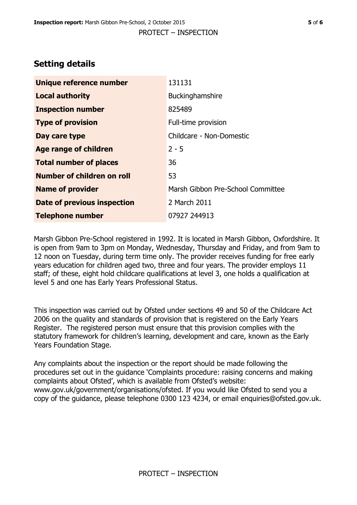# **Setting details**

| Unique reference number           | 131131                            |
|-----------------------------------|-----------------------------------|
| <b>Local authority</b>            | Buckinghamshire                   |
| <b>Inspection number</b>          | 825489                            |
| <b>Type of provision</b>          | Full-time provision               |
| Day care type                     | Childcare - Non-Domestic          |
| Age range of children             | $2 - 5$                           |
| <b>Total number of places</b>     | 36                                |
| <b>Number of children on roll</b> | 53                                |
| <b>Name of provider</b>           | Marsh Gibbon Pre-School Committee |
| Date of previous inspection       | 2 March 2011                      |
| <b>Telephone number</b>           | 07927 244913                      |

Marsh Gibbon Pre-School registered in 1992. It is located in Marsh Gibbon, Oxfordshire. It is open from 9am to 3pm on Monday, Wednesday, Thursday and Friday, and from 9am to 12 noon on Tuesday, during term time only. The provider receives funding for free early years education for children aged two, three and four years. The provider employs 11 staff; of these, eight hold childcare qualifications at level 3, one holds a qualification at level 5 and one has Early Years Professional Status.

This inspection was carried out by Ofsted under sections 49 and 50 of the Childcare Act 2006 on the quality and standards of provision that is registered on the Early Years Register. The registered person must ensure that this provision complies with the statutory framework for children's learning, development and care, known as the Early Years Foundation Stage.

Any complaints about the inspection or the report should be made following the procedures set out in the guidance 'Complaints procedure: raising concerns and making complaints about Ofsted', which is available from Ofsted's website: www.gov.uk/government/organisations/ofsted. If you would like Ofsted to send you a copy of the guidance, please telephone 0300 123 4234, or email enquiries@ofsted.gov.uk.